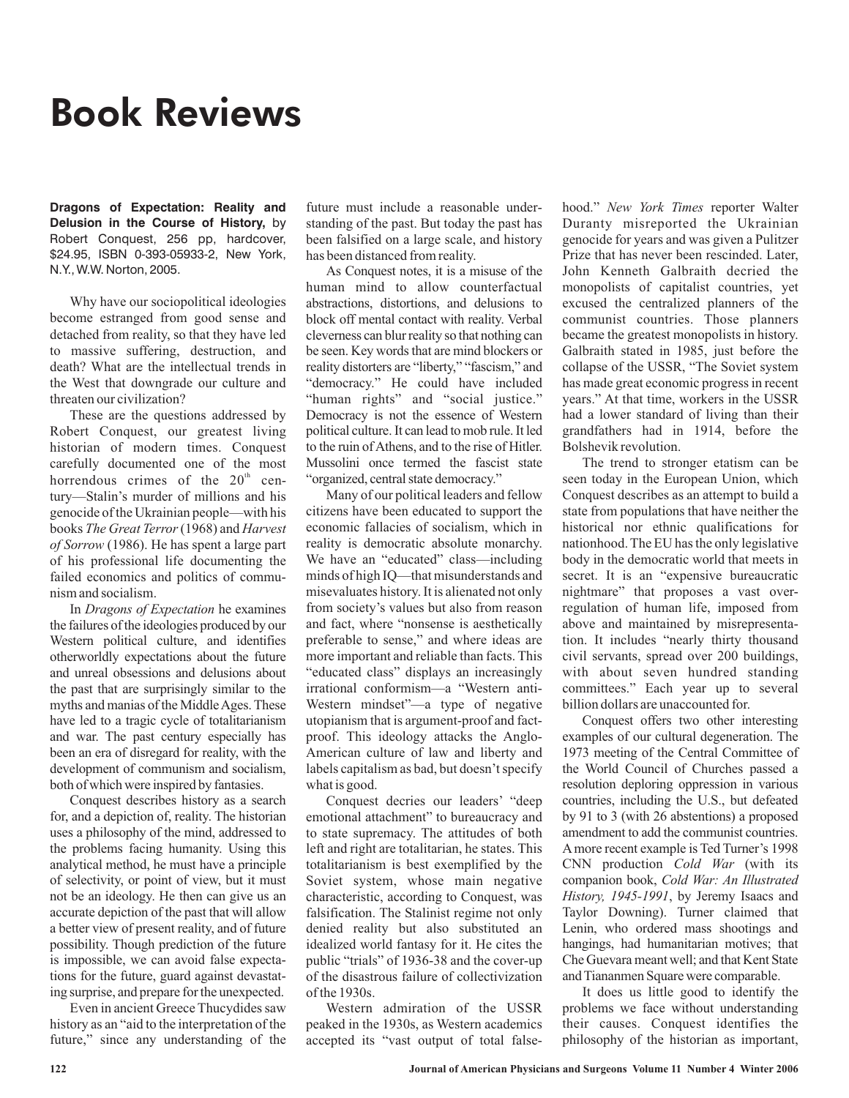## Book Reviews

**Dragons of Expectation: Reality and Delusion in the Course of History,** by Robert Conquest, 256 pp, hardcover, \$24.95, ISBN 0-393-05933-2, New York, N.Y., W.W. Norton, 2005.

Why have our sociopolitical ideologies become estranged from good sense and detached from reality, so that they have led to massive suffering, destruction, and death? What are the intellectual trends in the West that downgrade our culture and threaten our civilization?

These are the questions addressed by Robert Conquest, our greatest living historian of modern times. Conquest carefully documented one of the most horrendous crimes of the  $20<sup>th</sup>$  century—Stalin's murder of millions and his genocide of the Ukrainian people—with his books The Great Terror (1968) and Harvest (1986). He has spent a large part *of Sorrow* of his professional life documenting the failed economics and politics of communism and socialism.

In Dragons of Expectation he examines the failures of the ideologies produced by our Western political culture, and identifies otherworldly expectations about the future and unreal obsessions and delusions about the past that are surprisingly similar to the myths and manias of the MiddleAges. These have led to a tragic cycle of totalitarianism and war. The past century especially has been an era of disregard for reality, with the development of communism and socialism, both of which were inspired by fantasies.

Conquest describes history as a search for, and a depiction of, reality. The historian uses a philosophy of the mind, addressed to the problems facing humanity. Using this analytical method, he must have a principle of selectivity, or point of view, but it must not be an ideology. He then can give us an accurate depiction of the past that will allow a better view of present reality, and of future possibility. Though prediction of the future is impossible, we can avoid false expectations for the future, guard against devastating surprise, and prepare for the unexpected.

Even in ancient Greece Thucydides saw history as an "aid to the interpretation of the future," since any understanding of the future must include a reasonable understanding of the past. But today the past has been falsified on a large scale, and history has been distanced from reality.

As Conquest notes, it is a misuse of the human mind to allow counterfactual abstractions, distortions, and delusions to block off mental contact with reality. Verbal cleverness can blur reality so that nothing can be seen. Key words that are mind blockers or reality distorters are "liberty," "fascism," and "democracy." He could have included "human rights" and "social justice." Democracy is not the essence of Western political culture. It can lead to mob rule. It led to the ruin of Athens, and to the rise of Hitler. Mussolini once termed the fascist state "organized, central state democracy."

Many of our political leaders and fellow citizens have been educated to support the economic fallacies of socialism, which in reality is democratic absolute monarchy. We have an "educated" class—including minds of high IQ—that misunderstands and misevaluates history. It is alienated not only from society's values but also from reason and fact, where "nonsense is aesthetically preferable to sense," and where ideas are more important and reliable than facts. This "educated class" displays an increasingly irrational conformism—a "Western anti-Western mindset"—a type of negative utopianism that is argument-proof and factproof. This ideology attacks the Anglo-American culture of law and liberty and labels capitalism as bad, but doesn't specify what is good.

Conquest decries our leaders' "deep emotional attachment" to bureaucracy and to state supremacy. The attitudes of both left and right are totalitarian, he states. This totalitarianism is best exemplified by the Soviet system, whose main negative characteristic, according to Conquest, was falsification. The Stalinist regime not only denied reality but also substituted an idealized world fantasy for it. He cites the public "trials" of 1936-38 and the cover-up of the disastrous failure of collectivization of the 1930s.

Western admiration of the USSR peaked in the 1930s, as Western academics accepted its "vast output of total false-

hood." New York Times reporter Walter Duranty misreported the Ukrainian genocide for years and was given a Pulitzer Prize that has never been rescinded. Later, John Kenneth Galbraith decried the monopolists of capitalist countries, yet excused the centralized planners of the communist countries. Those planners became the greatest monopolists in history. Galbraith stated in 1985, just before the collapse of the USSR, "The Soviet system has made great economic progress in recent years." At that time, workers in the USSR had a lower standard of living than their grandfathers had in 1914, before the Bolshevik revolution.

The trend to stronger etatism can be seen today in the European Union, which Conquest describes as an attempt to build a state from populations that have neither the historical nor ethnic qualifications for nationhood. The EU has the only legislative body in the democratic world that meets in secret. It is an "expensive bureaucratic nightmare" that proposes a vast overregulation of human life, imposed from above and maintained by misrepresentation. It includes "nearly thirty thousand civil servants, spread over 200 buildings, with about seven hundred standing committees." Each year up to several billion dollars are unaccounted for.

Conquest offers two other interesting examples of our cultural degeneration. The 1973 meeting of the Central Committee of the World Council of Churches passed a resolution deploring oppression in various countries, including the U.S., but defeated by 91 to 3 (with 26 abstentions) a proposed amendment to add the communist countries. A more recent example is Ted Turner's 1998 CNN production Cold War (with its companion book, *Cold War: An Illustrated* History, 1945-1991, by Jeremy Isaacs and Taylor Downing). Turner claimed that Lenin, who ordered mass shootings and hangings, had humanitarian motives; that Che Guevara meant well; and that Kent State and Tiananmen Square were comparable.

It does us little good to identify the problems we face without understanding their causes. Conquest identifies the philosophy of the historian as important,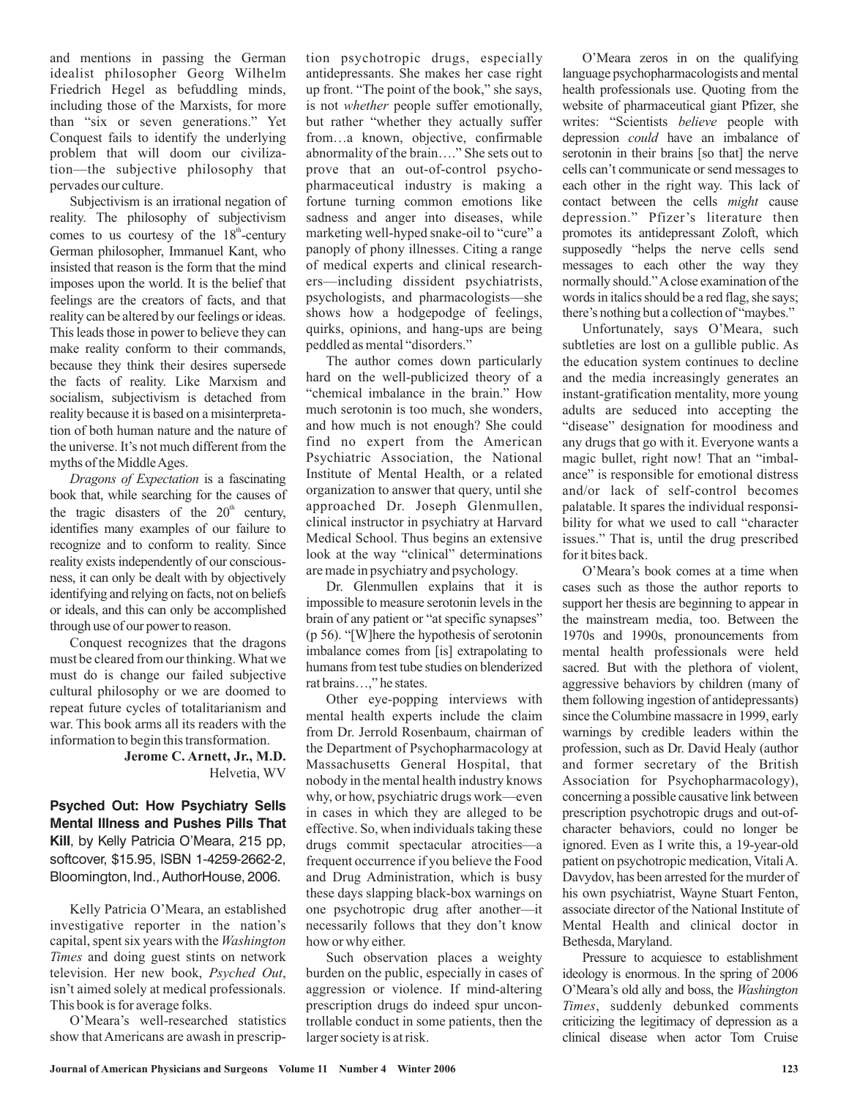and mentions in passing the German idealist philosopher Georg Wilhelm Friedrich Hegel as befuddling minds, including those of the Marxists, for more than "six or seven generations." Yet Conquest fails to identify the underlying problem that will doom our civilization—the subjective philosophy that pervades our culture.

Subjectivism is an irrational negation of reality. The philosophy of subjectivism comes to us courtesy of the  $18^{\text{th}}$ -century German philosopher, Immanuel Kant, who insisted that reason is the form that the mind imposes upon the world. It is the belief that feelings are the creators of facts, and that reality can be altered by our feelings or ideas. This leads those in power to believe they can make reality conform to their commands, because they think their desires supersede the facts of reality. Like Marxism and socialism, subjectivism is detached from reality because it is based on a misinterpretation of both human nature and the nature of the universe. It's not much different from the myths of the MiddleAges.

Dragons of Expectation is a fascinating book that, while searching for the causes of the tragic disasters of the  $20<sup>th</sup>$  century, identifies many examples of our failure to recognize and to conform to reality. Since reality exists independently of our consciousness, it can only be dealt with by objectively identifying and relying on facts, not on beliefs or ideals, and this can only be accomplished through use of our power to reason.

Conquest recognizes that the dragons must be cleared from our thinking.What we must do is change our failed subjective cultural philosophy or we are doomed to repeat future cycles of totalitarianism and war. This book arms all its readers with the information to begin this transformation.

> Helvetia, WV **Jerome C. Arnett, Jr., M.D.**

**Psyched Out: How Psychiatry Sells Mental Illness and Pushes Pills That Kill**, by Kelly Patricia O'Meara, 215 pp, softcover, \$15.95, ISBN 1-4259-2662-2, Bloomington, Ind., AuthorHouse, 2006.

Kelly Patricia O'Meara, an established investigative reporter in the nation's capital, spent six years with the *Washington* Times and doing guest stints on network television. Her new book, Psyched Out, isn't aimed solely at medical professionals. This book is for average folks.

O'Meara's well-researched statistics show that Americans are awash in prescription psychotropic drugs, especially antidepressants. She makes her case right up front. "The point of the book," she says, is not whether people suffer emotionally, but rather "whether they actually suffer from…a known, objective, confirmable abnormality of the brain…." She sets out to prove that an out-of-control psychopharmaceutical industry is making a fortune turning common emotions like sadness and anger into diseases, while marketing well-hyped snake-oil to "cure" a panoply of phony illnesses. Citing a range of medical experts and clinical researchers—including dissident psychiatrists, psychologists, and pharmacologists—she shows how a hodgepodge of feelings, quirks, opinions, and hang-ups are being peddled as mental "disorders."

The author comes down particularly hard on the well-publicized theory of a "chemical imbalance in the brain." How much serotonin is too much, she wonders, and how much is not enough? She could find no expert from the American Psychiatric Association, the National Institute of Mental Health, or a related organization to answer that query, until she approached Dr. Joseph Glenmullen, clinical instructor in psychiatry at Harvard Medical School. Thus begins an extensive look at the way "clinical" determinations are made in psychiatry and psychology.

Dr. Glenmullen explains that it is impossible to measure serotonin levels in the brain of any patient or "at specific synapses" (p 56). "[W]here the hypothesis of serotonin imbalance comes from [is] extrapolating to humans from test tube studies on blenderized rat brains…," he states.

Other eye-popping interviews with mental health experts include the claim from Dr. Jerrold Rosenbaum, chairman of the Department of Psychopharmacology at Massachusetts General Hospital, that nobody in the mental health industry knows why, or how, psychiatric drugs work—even in cases in which they are alleged to be effective. So, when individuals taking these drugs commit spectacular atrocities—a frequent occurrence if you believe the Food and Drug Administration, which is busy these days slapping black-box warnings on one psychotropic drug after another—it necessarily follows that they don't know how or why either.

Such observation places a weighty burden on the public, especially in cases of aggression or violence. If mind-altering prescription drugs do indeed spur uncontrollable conduct in some patients, then the larger society is at risk.

O'Meara zeros in on the qualifying language psychopharmacologists and mental health professionals use. Quoting from the website of pharmaceutical giant Pfizer, she writes: "Scientists believe people with depression *could* have an imbalance of serotonin in their brains [so that] the nerve cells can't communicate or send messages to each other in the right way. This lack of contact between the cells might cause depression." Pfizer's literature then promotes its antidepressant Zoloft, which supposedly "helps the nerve cells send messages to each other the way they normally should."Aclose examination of the words in italics should be a red flag, she says; there's nothing but a collection of "maybes."

Unfortunately, says O'Meara, such subtleties are lost on a gullible public. As the education system continues to decline and the media increasingly generates an instant-gratification mentality, more young adults are seduced into accepting the "disease" designation for moodiness and any drugs that go with it. Everyone wants a magic bullet, right now! That an "imbalance" is responsible for emotional distress and/or lack of self-control becomes palatable. It spares the individual responsibility for what we used to call "character issues." That is, until the drug prescribed for it bites back.

O'Meara's book comes at a time when cases such as those the author reports to support her thesis are beginning to appear in the mainstream media, too. Between the 1970s and 1990s, pronouncements from mental health professionals were held sacred. But with the plethora of violent, aggressive behaviors by children (many of them following ingestion of antidepressants) since the Columbine massacre in 1999, early warnings by credible leaders within the profession, such as Dr. David Healy (author and former secretary of the British Association for Psychopharmacology), concerning a possible causative link between prescription psychotropic drugs and out-ofcharacter behaviors, could no longer be ignored. Even as I write this, a 19-year-old patient on psychotropic medication, VitaliA. Davydov, has been arrested for the murder of his own psychiatrist, Wayne Stuart Fenton, associate director of the National Institute of Mental Health and clinical doctor in Bethesda, Maryland.

Pressure to acquiesce to establishment ideology is enormous. In the spring of 2006 O'Meara's old ally and boss, the *Washington* , suddenly debunked comments *Times* criticizing the legitimacy of depression as a clinical disease when actor Tom Cruise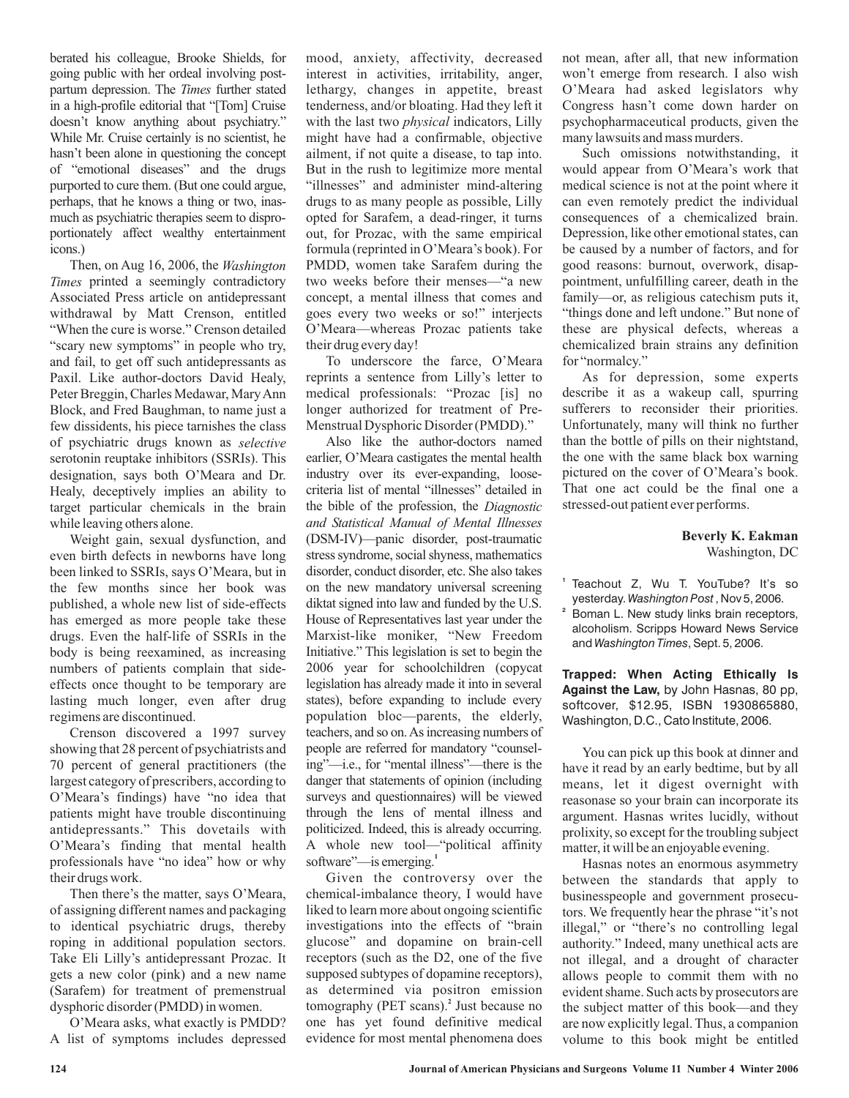berated his colleague, Brooke Shields, for going public with her ordeal involving postpartum depression. The Times further stated in a high-profile editorial that "[Tom] Cruise doesn't know anything about psychiatry." While Mr. Cruise certainly is no scientist, he hasn't been alone in questioning the concept of "emotional diseases" and the drugs purported to cure them. (But one could argue, perhaps, that he knows a thing or two, inasmuch as psychiatric therapies seem to disproportionately affect wealthy entertainment icons.)

Then, on Aug 16, 2006, the *Washington* printed a seemingly contradictory *Times* Associated Press article on antidepressant withdrawal by Matt Crenson, entitled "When the cure is worse." Crenson detailed "scary new symptoms" in people who try, and fail, to get off such antidepressants as Paxil. Like author-doctors David Healy, Peter Breggin, Charles Medawar, MaryAnn Block, and Fred Baughman, to name just a few dissidents, his piece tarnishes the class of psychiatric drugs known as *selective* serotonin reuptake inhibitors (SSRIs). This designation, says both O'Meara and Dr. Healy, deceptively implies an ability to target particular chemicals in the brain while leaving others alone.

Weight gain, sexual dysfunction, and even birth defects in newborns have long been linked to SSRIs, says O'Meara, but in the few months since her book was published, a whole new list of side-effects has emerged as more people take these drugs. Even the half-life of SSRIs in the body is being reexamined, as increasing numbers of patients complain that sideeffects once thought to be temporary are lasting much longer, even after drug regimens are discontinued.

Crenson discovered a 1997 survey showing that 28 percent of psychiatrists and 70 percent of general practitioners (the largest category of prescribers, according to O'Meara's findings) have "no idea that patients might have trouble discontinuing antidepressants." This dovetails with O'Meara's finding that mental health professionals have "no idea" how or why their drugs work.

Then there's the matter, says O'Meara, of assigning different names and packaging to identical psychiatric drugs, thereby roping in additional population sectors. Take Eli Lilly's antidepressant Prozac. It gets a new color (pink) and a new name (Sarafem) for treatment of premenstrual dysphoric disorder (PMDD) in women.

O'Meara asks, what exactly is PMDD? A list of symptoms includes depressed mood, anxiety, affectivity, decreased interest in activities, irritability, anger, lethargy, changes in appetite, breast tenderness, and/or bloating. Had they left it with the last two *physical* indicators, Lilly might have had a confirmable, objective ailment, if not quite a disease, to tap into. But in the rush to legitimize more mental "illnesses" and administer mind-altering drugs to as many people as possible, Lilly opted for Sarafem, a dead-ringer, it turns out, for Prozac, with the same empirical formula (reprinted in O'Meara's book). For PMDD, women take Sarafem during the two weeks before their menses—"a new concept, a mental illness that comes and goes every two weeks or so!" interjects O'Meara—whereas Prozac patients take their drug every day!

To underscore the farce, O'Meara reprints a sentence from Lilly's letter to medical professionals: "Prozac [is] no longer authorized for treatment of Pre-Menstrual Dysphoric Disorder (PMDD)."

Also like the author-doctors named earlier, O'Meara castigates the mental health industry over its ever-expanding, loosecriteria list of mental "illnesses" detailed in the bible of the profession, the *Diagnostic* (DSM-IV)—panic disorder, post-traumatic stress syndrome, social shyness, mathematics disorder, conduct disorder, etc. She also takes on the new mandatory universal screening diktat signed into law and funded by the U.S. House of Representatives last year under the Marxist-like moniker, "New Freedom Initiative." This legislation is set to begin the 2006 year for schoolchildren (copycat legislation has already made it into in several states), before expanding to include every population bloc—parents, the elderly, teachers, and so on.As increasing numbers of people are referred for mandatory "counseling"—i.e., for "mental illness"—there is the danger that statements of opinion (including surveys and questionnaires) will be viewed through the lens of mental illness and politicized. Indeed, this is already occurring. A whole new tool—"political affinity software"—is emerging.<sup>1</sup> *and Statistical Manual of Mental Illnesses*

Given the controversy over the chemical-imbalance theory, I would have liked to learn more about ongoing scientific investigations into the effects of "brain glucose" and dopamine on brain-cell receptors (such as the D2, one of the five supposed subtypes of dopamine receptors), as determined via positron emission tomography (PET scans).<sup>2</sup> Just because no one has yet found definitive medical evidence for most mental phenomena does

not mean, after all, that new information won't emerge from research. I also wish O'Meara had asked legislators why Congress hasn't come down harder on psychopharmaceutical products, given the many lawsuits and mass murders.

Such omissions notwithstanding, it would appear from O'Meara's work that medical science is not at the point where it can even remotely predict the individual consequences of a chemicalized brain. Depression, like other emotional states, can be caused by a number of factors, and for good reasons: burnout, overwork, disappointment, unfulfilling career, death in the family—or, as religious catechism puts it, "things done and left undone." But none of these are physical defects, whereas a chemicalized brain strains any definition for "normalcy."

As for depression, some experts describe it as a wakeup call, spurring sufferers to reconsider their priorities. Unfortunately, many will think no further than the bottle of pills on their nightstand, the one with the same black box warning pictured on the cover of O'Meara's book. That one act could be the final one a stressed-out patient ever performs.

## Washington, DC **Beverly K. Eakman**

- **1** Teachout Z, Wu T. YouTube? It's so yesterday. Washington Post, Nov 5, 2006.
- **2** Boman L. New study links brain receptors, alcoholism. Scripps Howard News Service and Washington Times, Sept. 5, 2006.

**Trapped: When Acting Ethically Is Against the Law,** by John Hasnas, 80 pp, \$12.95, ISBN 1930865880, softcover, Washington, D.C., Cato Institute, 2006.

You can pick up this book at dinner and have it read by an early bedtime, but by all means, let it digest overnight with reasonase so your brain can incorporate its argument. Hasnas writes lucidly, without prolixity, so except for the troubling subject matter, it will be an enjoyable evening.

Hasnas notes an enormous asymmetry between the standards that apply to businesspeople and government prosecutors. We frequently hear the phrase "it's not illegal," or "there's no controlling legal authority." Indeed, many unethical acts are not illegal, and a drought of character allows people to commit them with no evident shame. Such acts by prosecutors are the subject matter of this book—and they are now explicitly legal. Thus, a companion volume to this book might be entitled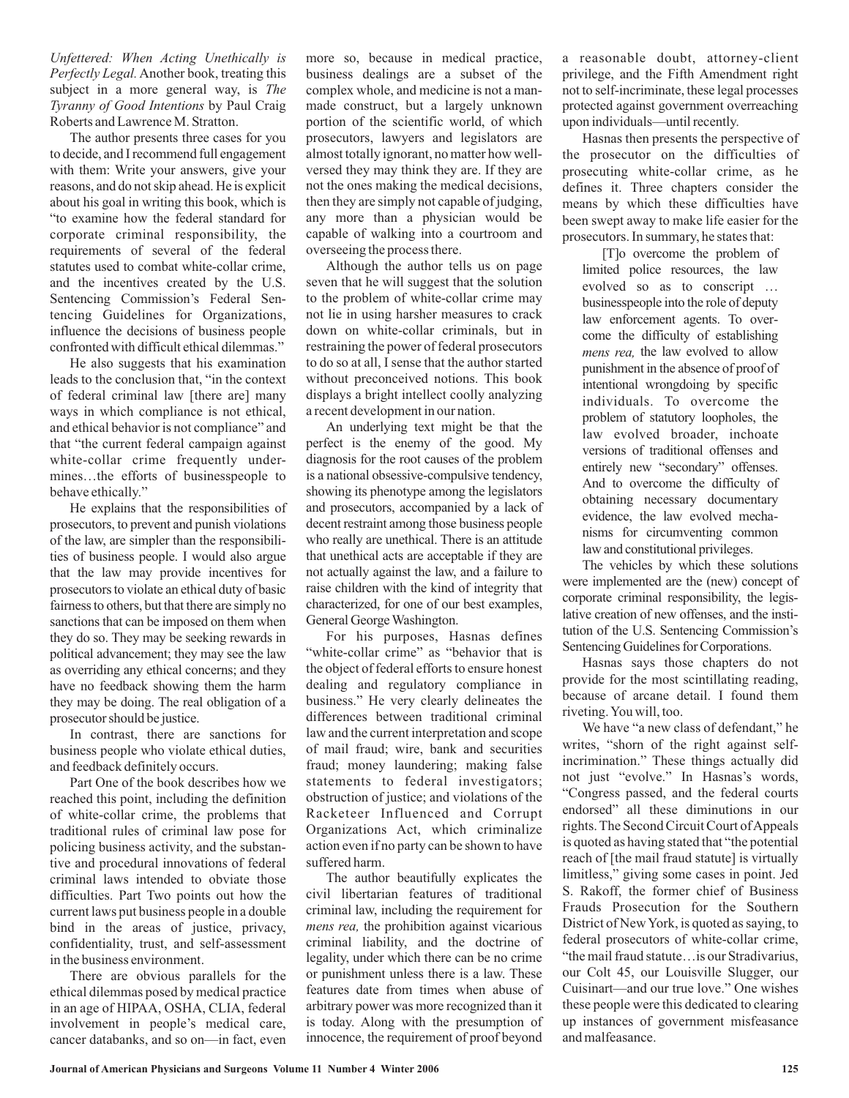*Unfettered: When Acting Unethically is Perfectly Legal.* Another book, treating this subject in a more general way, is The *Tyranny of Good Intentions* by Paul Craig Roberts and Lawrence M. Stratton.

The author presents three cases for you to decide, and I recommend full engagement with them: Write your answers, give your reasons, and do not skip ahead. He is explicit about his goal in writing this book, which is "to examine how the federal standard for corporate criminal responsibility, the requirements of several of the federal statutes used to combat white-collar crime, and the incentives created by the U.S. Sentencing Commission's Federal Sentencing Guidelines for Organizations, influence the decisions of business people confronted with difficult ethical dilemmas."

He also suggests that his examination leads to the conclusion that, "in the context of federal criminal law [there are] many ways in which compliance is not ethical, and ethical behavior is not compliance" and that "the current federal campaign against white-collar crime frequently undermines…the efforts of businesspeople to behave ethically."

He explains that the responsibilities of prosecutors, to prevent and punish violations of the law, are simpler than the responsibilities of business people. I would also argue that the law may provide incentives for prosecutors to violate an ethical duty of basic fairness to others, but that there are simply no sanctions that can be imposed on them when they do so. They may be seeking rewards in political advancement; they may see the law as overriding any ethical concerns; and they have no feedback showing them the harm they may be doing. The real obligation of a prosecutor should be justice.

In contrast, there are sanctions for business people who violate ethical duties, and feedback definitely occurs.

Part One of the book describes how we reached this point, including the definition of white-collar crime, the problems that traditional rules of criminal law pose for policing business activity, and the substantive and procedural innovations of federal criminal laws intended to obviate those difficulties. Part Two points out how the current laws put business people in a double bind in the areas of justice, privacy, confidentiality, trust, and self-assessment in the business environment.

There are obvious parallels for the ethical dilemmas posed by medical practice in an age of HIPAA, OSHA, CLIA, federal involvement in people's medical care, cancer databanks, and so on—in fact, even more so, because in medical practice, business dealings are a subset of the complex whole, and medicine is not a manmade construct, but a largely unknown portion of the scientific world, of which prosecutors, lawyers and legislators are almost totally ignorant, no matter how wellversed they may think they are. If they are not the ones making the medical decisions, then they are simply not capable of judging, any more than a physician would be capable of walking into a courtroom and overseeing the process there.

Although the author tells us on page seven that he will suggest that the solution to the problem of white-collar crime may not lie in using harsher measures to crack down on white-collar criminals, but in restraining the power of federal prosecutors to do so at all, I sense that the author started without preconceived notions. This book displays a bright intellect coolly analyzing a recent development in our nation.

An underlying text might be that the perfect is the enemy of the good. My diagnosis for the root causes of the problem is a national obsessive-compulsive tendency, showing its phenotype among the legislators and prosecutors, accompanied by a lack of decent restraint among those business people who really are unethical. There is an attitude that unethical acts are acceptable if they are not actually against the law, and a failure to raise children with the kind of integrity that characterized, for one of our best examples, General George Washington.

For his purposes, Hasnas defines "white-collar crime" as "behavior that is the object of federal efforts to ensure honest dealing and regulatory compliance in business." He very clearly delineates the differences between traditional criminal law and the current interpretation and scope of mail fraud; wire, bank and securities fraud; money laundering; making false statements to federal investigators; obstruction of justice; and violations of the Racketeer Influenced and Corrupt Organizations Act, which criminalize action even if no party can be shown to have suffered harm.

The author beautifully explicates the civil libertarian features of traditional criminal law, including the requirement for *mens rea*, the prohibition against vicarious criminal liability, and the doctrine of legality, under which there can be no crime or punishment unless there is a law. These features date from times when abuse of arbitrary power was more recognized than it is today. Along with the presumption of innocence, the requirement of proof beyond

a reasonable doubt, attorney-client privilege, and the Fifth Amendment right not to self-incriminate, these legal processes protected against government overreaching upon individuals—until recently.

Hasnas then presents the perspective of the prosecutor on the difficulties of prosecuting white-collar crime, as he defines it. Three chapters consider the means by which these difficulties have been swept away to make life easier for the prosecutors. In summary, he states that:

[T]o overcome the problem of limited police resources, the law evolved so as to conscript … businesspeople into the role of deputy law enforcement agents. To overcome the difficulty of establishing mens rea, the law evolved to allow punishment in the absence of proof of intentional wrongdoing by specific individuals. To overcome the problem of statutory loopholes, the law evolved broader, inchoate versions of traditional offenses and entirely new "secondary" offenses. And to overcome the difficulty of obtaining necessary documentary evidence, the law evolved mechanisms for circumventing common law and constitutional privileges.

The vehicles by which these solutions were implemented are the (new) concept of corporate criminal responsibility, the legislative creation of new offenses, and the institution of the U.S. Sentencing Commission's Sentencing Guidelines for Corporations.

Hasnas says those chapters do not provide for the most scintillating reading, because of arcane detail. I found them riveting.You will, too.

We have "a new class of defendant," he writes, "shorn of the right against selfincrimination." These things actually did not just "evolve." In Hasnas's words, "Congress passed, and the federal courts endorsed" all these diminutions in our rights. The Second Circuit Court of Appeals is quoted as having stated that "the potential reach of [the mail fraud statute] is virtually limitless," giving some cases in point. Jed S. Rakoff, the former chief of Business Frauds Prosecution for the Southern District of New York, is quoted as saying, to federal prosecutors of white-collar crime, "the mail fraud statute…is our Stradivarius, our Colt 45, our Louisville Slugger, our Cuisinart—and our true love." One wishes these people were this dedicated to clearing up instances of government misfeasance and malfeasance.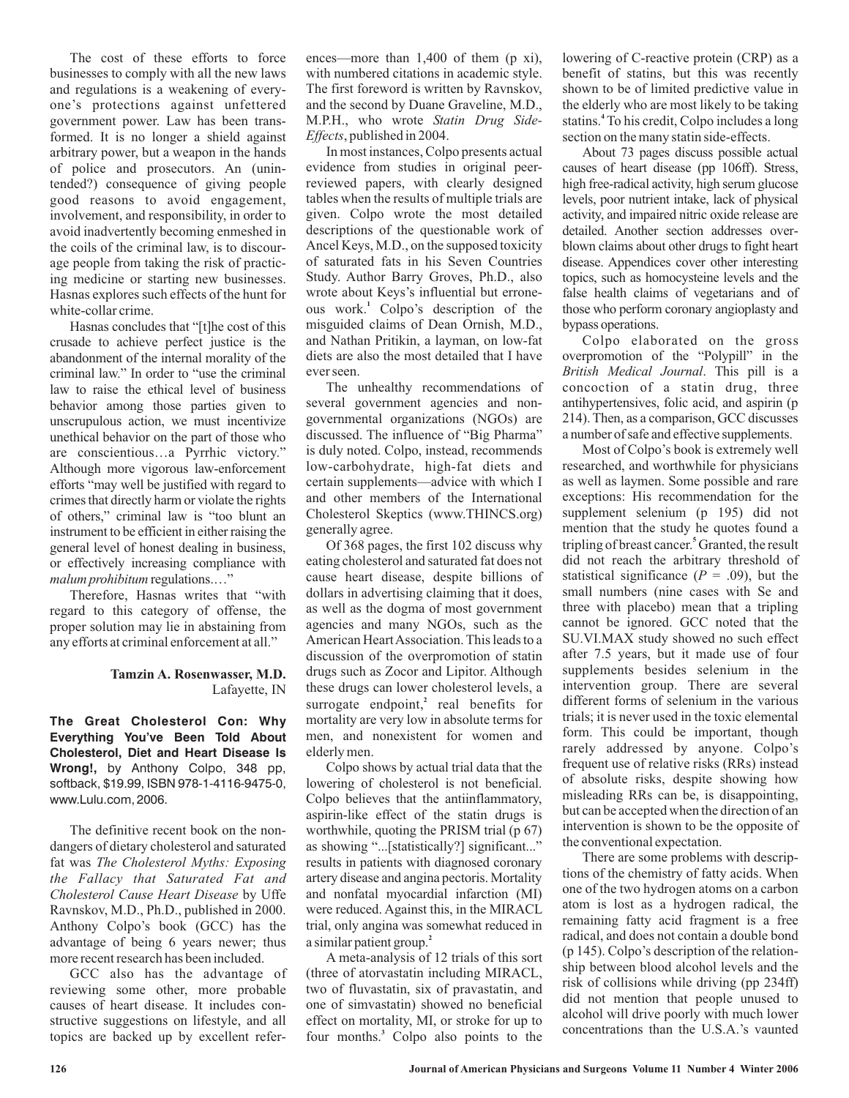The cost of these efforts to force businesses to comply with all the new laws and regulations is a weakening of everyone's protections against unfettered government power. Law has been transformed. It is no longer a shield against arbitrary power, but a weapon in the hands of police and prosecutors. An (unintended?) consequence of giving people good reasons to avoid engagement, involvement, and responsibility, in order to avoid inadvertently becoming enmeshed in the coils of the criminal law, is to discourage people from taking the risk of practicing medicine or starting new businesses. Hasnas explores such effects of the hunt for white-collar crime.

Hasnas concludes that "[t]he cost of this crusade to achieve perfect justice is the abandonment of the internal morality of the criminal law." In order to "use the criminal law to raise the ethical level of business behavior among those parties given to unscrupulous action, we must incentivize unethical behavior on the part of those who are conscientious…a Pyrrhic victory." Although more vigorous law-enforcement efforts "may well be justified with regard to crimes that directly harm or violate the rights of others," criminal law is "too blunt an instrument to be efficient in either raising the general level of honest dealing in business, or effectively increasing compliance with malum prohibitum regulations...."

Therefore, Hasnas writes that "with regard to this category of offense, the proper solution may lie in abstaining from any efforts at criminal enforcement at all."

## Lafayette, IN **Tamzin A. Rosenwasser, M.D.**

**The Great Cholesterol Con: Why Everything You've Been Told About Cholesterol, Diet and Heart Disease Is Wrong!,** by Anthony Colpo, 348 pp, softback, \$19.99, ISBN 978-1-4116-9475-0, www.Lulu.com, 2006.

The definitive recent book on the nondangers of dietary cholesterol and saturated fat was *The Cholesterol Myths: Exposing* **Cholesterol Cause Heart Disease by Uffe** Ravnskov, M.D., Ph.D., published in 2000. Anthony Colpo's book (GCC) has the advantage of being 6 years newer; thus more recent research has been included. *the Fallacy that Saturated Fat and*

GCC also has the advantage of reviewing some other, more probable causes of heart disease. It includes constructive suggestions on lifestyle, and all topics are backed up by excellent references—more than 1,400 of them (p xi), with numbered citations in academic style. The first foreword is written by Ravnskov, and the second by Duane Graveline, M.D., M.P.H., who wrote *Statin Drug Side-*, published in 2004. *Effects*

In most instances, Colpo presents actual evidence from studies in original peerreviewed papers, with clearly designed tables when the results of multiple trials are given. Colpo wrote the most detailed descriptions of the questionable work of Ancel Keys, M.D., on the supposed toxicity of saturated fats in his Seven Countries Study. Author Barry Groves, Ph.D., also wrote about Keys's influential but erroneous work.<sup>1</sup> Colpo's description of the misguided claims of Dean Ornish, M.D., and Nathan Pritikin, a layman, on low-fat diets are also the most detailed that I have ever seen.

The unhealthy recommendations of several government agencies and nongovernmental organizations (NGOs) are discussed. The influence of "Big Pharma" is duly noted. Colpo, instead, recommends low-carbohydrate, high-fat diets and certain supplements—advice with which I and other members of the International Cholesterol Skeptics (www.THINCS.org) generally agree.

Of 368 pages, the first 102 discuss why eating cholesterol and saturated fat does not cause heart disease, despite billions of dollars in advertising claiming that it does, as well as the dogma of most government agencies and many NGOs, such as the American HeartAssociation. This leads to a discussion of the overpromotion of statin drugs such as Zocor and Lipitor. Although these drugs can lower cholesterol levels, a surrogate endpoint,<sup>2</sup> real benefits for mortality are very low in absolute terms for men, and nonexistent for women and elderly men.

Colpo shows by actual trial data that the lowering of cholesterol is not beneficial. Colpo believes that the antiinflammatory, aspirin-like effect of the statin drugs is worthwhile, quoting the PRISM trial (p 67) as showing "...[statistically?] significant..." results in patients with diagnosed coronary artery disease and angina pectoris. Mortality and nonfatal myocardial infarction (MI) were reduced. Against this, in the MIRACL trial, only angina was somewhat reduced in a similar patient group. **2**

A meta-analysis of 12 trials of this sort (three of atorvastatin including MIRACL, two of fluvastatin, six of pravastatin, and one of simvastatin) showed no beneficial effect on mortality, MI, or stroke for up to four months.<sup>3</sup> Colpo also points to the

lowering of C-reactive protein (CRP) as a benefit of statins, but this was recently shown to be of limited predictive value in the elderly who are most likely to be taking statins.<sup>4</sup> To his credit, Colpo includes a long section on the many statin side-effects.

About 73 pages discuss possible actual causes of heart disease (pp 106ff). Stress, high free-radical activity, high serum glucose levels, poor nutrient intake, lack of physical activity, and impaired nitric oxide release are detailed. Another section addresses overblown claims about other drugs to fight heart disease. Appendices cover other interesting topics, such as homocysteine levels and the false health claims of vegetarians and of those who perform coronary angioplasty and bypass operations.

Colpo elaborated on the gross overpromotion of the "Polypill" in the British Medical Journal. This pill is a concoction of a statin drug, three antihypertensives, folic acid, and aspirin (p 214). Then, as a comparison, GCC discusses a number of safe and effective supplements.

Most of Colpo's book is extremely well researched, and worthwhile for physicians as well as laymen. Some possible and rare exceptions: His recommendation for the supplement selenium (p 195) did not mention that the study he quotes found a tripling of breast cancer.<sup>5</sup> Granted, the result did not reach the arbitrary threshold of statistical significance ( $P = .09$ ), but the small numbers (nine cases with Se and three with placebo) mean that a tripling cannot be ignored. GCC noted that the SU.VI.MAX study showed no such effect after 7.5 years, but it made use of four supplements besides selenium in the intervention group. There are several different forms of selenium in the various trials; it is never used in the toxic elemental form. This could be important, though rarely addressed by anyone. Colpo's frequent use of relative risks (RRs) instead of absolute risks, despite showing how misleading RRs can be, is disappointing, but can be accepted when the direction of an intervention is shown to be the opposite of the conventional expectation.

There are some problems with descriptions of the chemistry of fatty acids. When one of the two hydrogen atoms on a carbon atom is lost as a hydrogen radical, the remaining fatty acid fragment is a free radical, and does not contain a double bond (p 145). Colpo's description of the relationship between blood alcohol levels and the risk of collisions while driving (pp 234ff) did not mention that people unused to alcohol will drive poorly with much lower concentrations than the U.S.A.'s vaunted